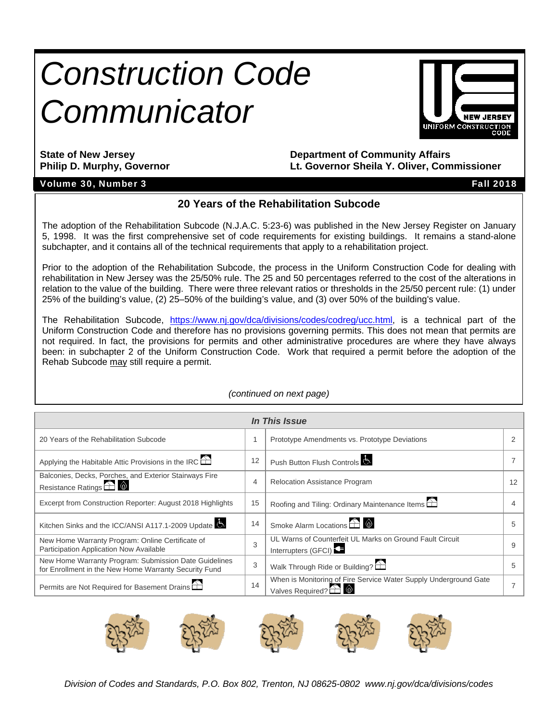# *Construction Code Communicator*



**State of New Jersey Department of Community Affairs Philip D. Murphy, Governor Lt. Governor Sheila Y. Oliver, Commissioner** 

#### Volume 30, Number 3 Fall 2018

#### **20 Years of the Rehabilitation Subcode**

The adoption of the Rehabilitation Subcode (N.J.A.C. 5:23-6) was published in the New Jersey Register on January 5, 1998. It was the first comprehensive set of code requirements for existing buildings. It remains a stand-alone subchapter, and it contains all of the technical requirements that apply to a rehabilitation project.

Prior to the adoption of the Rehabilitation Subcode, the process in the Uniform Construction Code for dealing with rehabilitation in New Jersey was the 25/50% rule. The 25 and 50 percentages referred to the cost of the alterations in relation to the value of the building. There were three relevant ratios or thresholds in the 25/50 percent rule: (1) under 25% of the building's value, (2) 25–50% of the building's value, and (3) over 50% of the building's value.

The Rehabilitation Subcode, https://www.nj.gov/dca/divisions/codes/codreg/ucc.html, is a technical part of the Uniform Construction Code and therefore has no provisions governing permits. This does not mean that permits are not required. In fact, the provisions for permits and other administrative procedures are where they have always been: in subchapter 2 of the Uniform Construction Code. Work that required a permit before the adoption of the Rehab Subcode may still require a permit.

| In This Issue                                                                                                  |    |                                                                                                          |    |  |  |  |  |  |
|----------------------------------------------------------------------------------------------------------------|----|----------------------------------------------------------------------------------------------------------|----|--|--|--|--|--|
| 20 Years of the Rehabilitation Subcode                                                                         |    | Prototype Amendments vs. Prototype Deviations                                                            |    |  |  |  |  |  |
| Applying the Habitable Attic Provisions in the IRC $\Box$                                                      | 12 | Push Button Flush Controls                                                                               |    |  |  |  |  |  |
| Balconies, Decks, Porches, and Exterior Stairways Fire<br>Resistance Ratings <b>A</b>                          | 4  | <b>Relocation Assistance Program</b>                                                                     | 12 |  |  |  |  |  |
| Excerpt from Construction Reporter: August 2018 Highlights                                                     | 15 | Roofing and Tiling: Ordinary Maintenance Items                                                           |    |  |  |  |  |  |
| Kitchen Sinks and the ICC/ANSI A117.1-2009 Update                                                              | 14 | Smoke Alarm Locations $\widehat{\bigoplus}$ $\widehat{\otimes}$                                          |    |  |  |  |  |  |
| New Home Warranty Program: Online Certificate of<br>Participation Application Now Available                    | 3  | UL Warns of Counterfeit UL Marks on Ground Fault Circuit<br>Interrupters (GFCI)                          | 9  |  |  |  |  |  |
| New Home Warranty Program: Submission Date Guidelines<br>for Enrollment in the New Home Warranty Security Fund | 3  | Walk Through Ride or Building?                                                                           |    |  |  |  |  |  |
| Permits are Not Required for Basement Drains                                                                   | 14 | When is Monitoring of Fire Service Water Supply Underground Gate<br>Valves Required? $\triangle$ $\circ$ |    |  |  |  |  |  |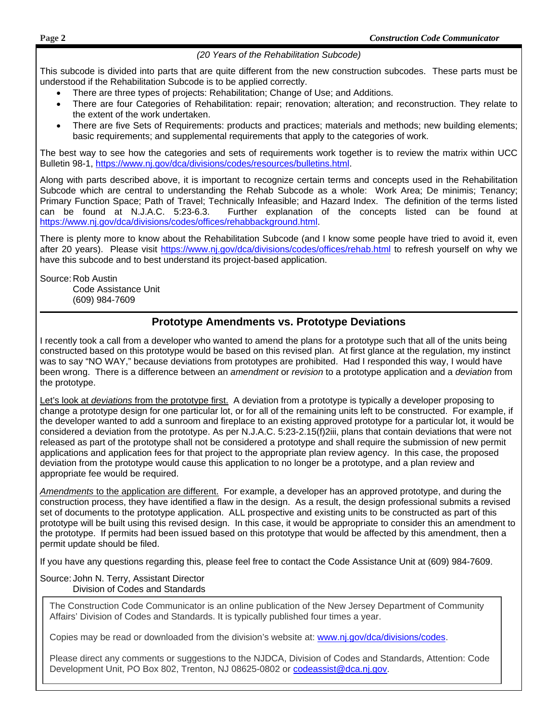#### *(20 Years of the Rehabilitation Subcode)*

This subcode is divided into parts that are quite different from the new construction subcodes. These parts must be understood if the Rehabilitation Subcode is to be applied correctly.

- There are three types of projects: Rehabilitation; Change of Use; and Additions.
- There are four Categories of Rehabilitation: repair; renovation; alteration; and reconstruction. They relate to the extent of the work undertaken.
- There are five Sets of Requirements: products and practices; materials and methods; new building elements; basic requirements; and supplemental requirements that apply to the categories of work.

The best way to see how the categories and sets of requirements work together is to review the matrix within UCC Bulletin 98-1, https://www.nj.gov/dca/divisions/codes/resources/bulletins.html.

Along with parts described above, it is important to recognize certain terms and concepts used in the Rehabilitation Subcode which are central to understanding the Rehab Subcode as a whole: Work Area; De minimis; Tenancy; Primary Function Space; Path of Travel; Technically Infeasible; and Hazard Index. The definition of the terms listed can be found at N.J.A.C. 5:23-6.3. Further explanation of the concepts listed can be found at https://www.nj.gov/dca/divisions/codes/offices/rehabbackground.html.

There is plenty more to know about the Rehabilitation Subcode (and I know some people have tried to avoid it, even after 20 years). Please visit https://www.nj.gov/dca/divisions/codes/offices/rehab.html to refresh yourself on why we have this subcode and to best understand its project-based application.

Source: Rob Austin Code Assistance Unit (609) 984-7609

#### **Prototype Amendments vs. Prototype Deviations**

I recently took a call from a developer who wanted to amend the plans for a prototype such that all of the units being constructed based on this prototype would be based on this revised plan. At first glance at the regulation, my instinct was to say "NO WAY," because deviations from prototypes are prohibited. Had I responded this way, I would have been wrong. There is a difference between an *amendment* or *revision* to a prototype application and a *deviation* from the prototype.

Let's look at *deviations* from the prototype first. A deviation from a prototype is typically a developer proposing to change a prototype design for one particular lot, or for all of the remaining units left to be constructed. For example, if the developer wanted to add a sunroom and fireplace to an existing approved prototype for a particular lot, it would be considered a deviation from the prototype. As per N.J.A.C. 5:23-2.15(f)2iii, plans that contain deviations that were not released as part of the prototype shall not be considered a prototype and shall require the submission of new permit applications and application fees for that project to the appropriate plan review agency. In this case, the proposed deviation from the prototype would cause this application to no longer be a prototype, and a plan review and appropriate fee would be required.

*Amendments* to the application are different. For example, a developer has an approved prototype, and during the construction process, they have identified a flaw in the design. As a result, the design professional submits a revised set of documents to the prototype application. ALL prospective and existing units to be constructed as part of this prototype will be built using this revised design. In this case, it would be appropriate to consider this an amendment to the prototype. If permits had been issued based on this prototype that would be affected by this amendment, then a permit update should be filed.

If you have any questions regarding this, please feel free to contact the Code Assistance Unit at (609) 984-7609.

#### Source: John N. Terry, Assistant Director Division of Codes and Standards

 The Construction Code Communicator is an online publication of the New Jersey Department of Community Affairs' Division of Codes and Standards. It is typically published four times a year.

Copies may be read or downloaded from the division's website at: www.nj.gov/dca/divisions/codes.

Please direct any comments or suggestions to the NJDCA, Division of Codes and Standards, Attention: Code Development Unit, PO Box 802, Trenton, NJ 08625-0802 or codeassist@dca.nj.gov.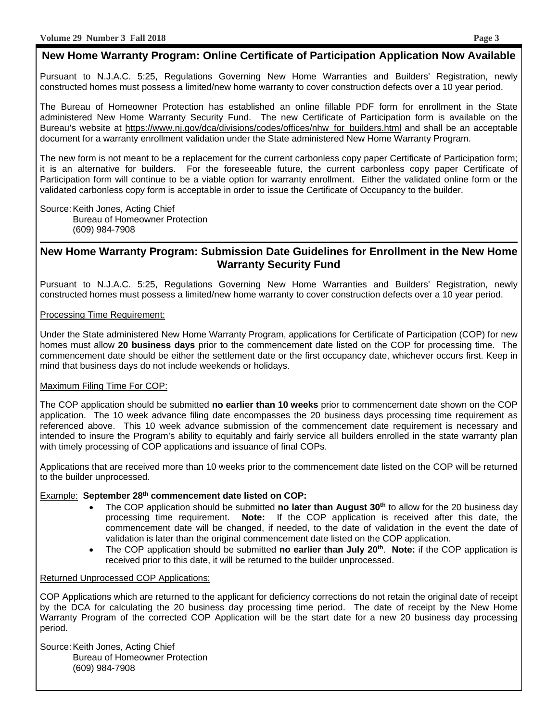#### **New Home Warranty Program: Online Certificate of Participation Application Now Available**

Pursuant to N.J.A.C. 5:25, Regulations Governing New Home Warranties and Builders' Registration, newly constructed homes must possess a limited/new home warranty to cover construction defects over a 10 year period.

The Bureau of Homeowner Protection has established an online fillable PDF form for enrollment in the State administered New Home Warranty Security Fund. The new Certificate of Participation form is available on the Bureau's website at https://www.nj.gov/dca/divisions/codes/offices/nhw\_for\_builders.html and shall be an acceptable document for a warranty enrollment validation under the State administered New Home Warranty Program.

The new form is not meant to be a replacement for the current carbonless copy paper Certificate of Participation form; it is an alternative for builders. For the foreseeable future, the current carbonless copy paper Certificate of Participation form will continue to be a viable option for warranty enrollment. Either the validated online form or the validated carbonless copy form is acceptable in order to issue the Certificate of Occupancy to the builder.

Source: Keith Jones, Acting Chief Bureau of Homeowner Protection (609) 984-7908

#### **New Home Warranty Program: Submission Date Guidelines for Enrollment in the New Home Warranty Security Fund**

Pursuant to N.J.A.C. 5:25, Regulations Governing New Home Warranties and Builders' Registration, newly constructed homes must possess a limited/new home warranty to cover construction defects over a 10 year period.

#### Processing Time Requirement:

Under the State administered New Home Warranty Program, applications for Certificate of Participation (COP) for new homes must allow **20 business days** prior to the commencement date listed on the COP for processing time. The commencement date should be either the settlement date or the first occupancy date, whichever occurs first. Keep in mind that business days do not include weekends or holidays.

#### Maximum Filing Time For COP:

The COP application should be submitted **no earlier than 10 weeks** prior to commencement date shown on the COP application. The 10 week advance filing date encompasses the 20 business days processing time requirement as referenced above. This 10 week advance submission of the commencement date requirement is necessary and intended to insure the Program's ability to equitably and fairly service all builders enrolled in the state warranty plan with timely processing of COP applications and issuance of final COPs.

Applications that are received more than 10 weeks prior to the commencement date listed on the COP will be returned to the builder unprocessed.

#### Example: **September 28th commencement date listed on COP:**

- The COP application should be submitted **no later than August 30<sup>th</sup>** to allow for the 20 business day processing time requirement. **Note:** If the COP application is received after this date, the commencement date will be changed, if needed, to the date of validation in the event the date of validation is later than the original commencement date listed on the COP application.
- The COP application should be submitted **no earlier than July 20th**. **Note:** if the COP application is received prior to this date, it will be returned to the builder unprocessed.

#### Returned Unprocessed COP Applications:

COP Applications which are returned to the applicant for deficiency corrections do not retain the original date of receipt by the DCA for calculating the 20 business day processing time period. The date of receipt by the New Home Warranty Program of the corrected COP Application will be the start date for a new 20 business day processing period.

Source: Keith Jones, Acting Chief Bureau of Homeowner Protection (609) 984-7908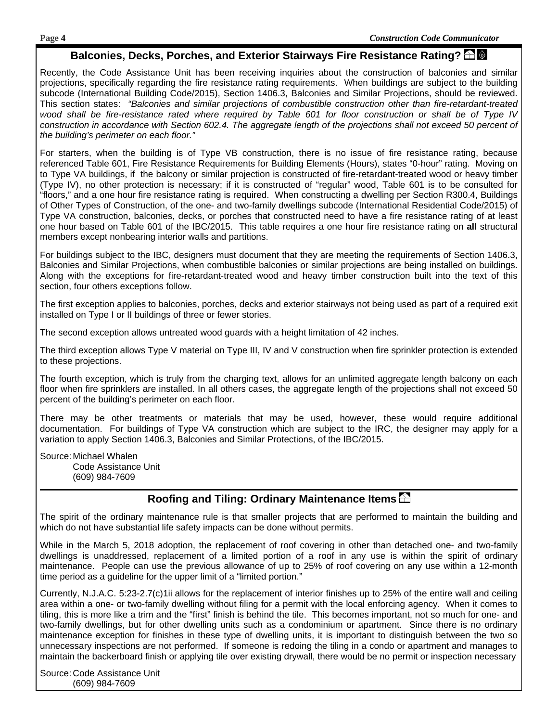#### **Balconies, Decks, Porches, and Exterior Stairways Fire Resistance Rating?**

Recently, the Code Assistance Unit has been receiving inquiries about the construction of balconies and similar projections, specifically regarding the fire resistance rating requirements. When buildings are subject to the building subcode (International Building Code/2015), Section 1406.3, Balconies and Similar Projections, should be reviewed. This section states: *"Balconies and similar projections of combustible construction other than fire-retardant-treated wood shall be fire-resistance rated where required by Table 601 for floor construction or shall be of Type IV construction in accordance with Section 602.4. The aggregate length of the projections shall not exceed 50 percent of the building's perimeter on each floor."*

For starters, when the building is of Type VB construction, there is no issue of fire resistance rating, because referenced Table 601, Fire Resistance Requirements for Building Elements (Hours), states "0-hour" rating. Moving on to Type VA buildings, if the balcony or similar projection is constructed of fire-retardant-treated wood or heavy timber (Type IV), no other protection is necessary; if it is constructed of "regular" wood, Table 601 is to be consulted for "floors," and a one hour fire resistance rating is required. When constructing a dwelling per Section R300.4, Buildings of Other Types of Construction, of the one- and two-family dwellings subcode (International Residential Code/2015) of Type VA construction, balconies, decks, or porches that constructed need to have a fire resistance rating of at least one hour based on Table 601 of the IBC/2015. This table requires a one hour fire resistance rating on **all** structural members except nonbearing interior walls and partitions.

For buildings subject to the IBC, designers must document that they are meeting the requirements of Section 1406.3, Balconies and Similar Projections, when combustible balconies or similar projections are being installed on buildings. Along with the exceptions for fire-retardant-treated wood and heavy timber construction built into the text of this section, four others exceptions follow.

The first exception applies to balconies, porches, decks and exterior stairways not being used as part of a required exit installed on Type I or II buildings of three or fewer stories.

The second exception allows untreated wood guards with a height limitation of 42 inches.

The third exception allows Type V material on Type III, IV and V construction when fire sprinkler protection is extended to these projections.

The fourth exception, which is truly from the charging text, allows for an unlimited aggregate length balcony on each floor when fire sprinklers are installed. In all others cases, the aggregate length of the projections shall not exceed 50 percent of the building's perimeter on each floor.

There may be other treatments or materials that may be used, however, these would require additional documentation. For buildings of Type VA construction which are subject to the IRC, the designer may apply for a variation to apply Section 1406.3, Balconies and Similar Protections, of the IBC/2015.

Source: Michael Whalen Code Assistance Unit (609) 984-7609

#### **Roofing and Tiling: Ordinary Maintenance Items**

The spirit of the ordinary maintenance rule is that smaller projects that are performed to maintain the building and which do not have substantial life safety impacts can be done without permits.

While in the March 5, 2018 adoption, the replacement of roof covering in other than detached one- and two-family dwellings is unaddressed, replacement of a limited portion of a roof in any use is within the spirit of ordinary maintenance. People can use the previous allowance of up to 25% of roof covering on any use within a 12-month time period as a guideline for the upper limit of a "limited portion."

Currently, N.J.A.C. 5:23-2.7(c)1ii allows for the replacement of interior finishes up to 25% of the entire wall and ceiling area within a one- or two-family dwelling without filing for a permit with the local enforcing agency. When it comes to tiling, this is more like a trim and the "first" finish is behind the tile. This becomes important, not so much for one- and two-family dwellings, but for other dwelling units such as a condominium or apartment. Since there is no ordinary maintenance exception for finishes in these type of dwelling units, it is important to distinguish between the two so unnecessary inspections are not performed. If someone is redoing the tiling in a condo or apartment and manages to maintain the backerboard finish or applying tile over existing drywall, there would be no permit or inspection necessary

Source: Code Assistance Unit (609) 984-7609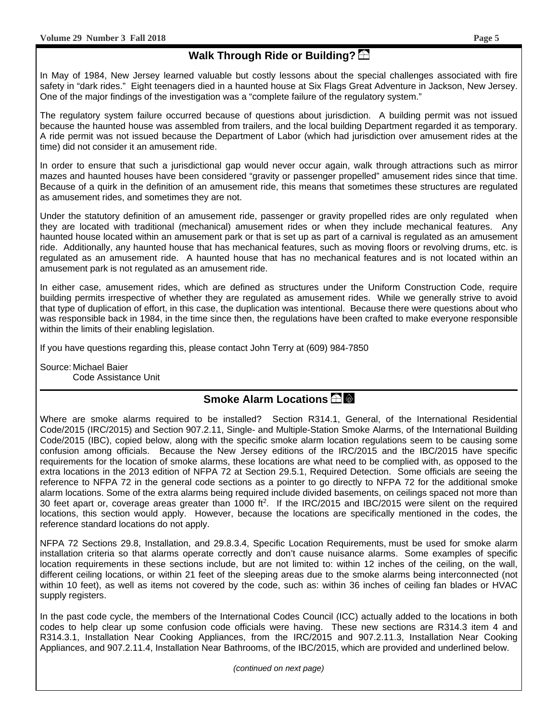#### **Walk Through Ride or Building?**

In May of 1984, New Jersey learned valuable but costly lessons about the special challenges associated with fire safety in "dark rides." Eight teenagers died in a haunted house at Six Flags Great Adventure in Jackson, New Jersey. One of the major findings of the investigation was a "complete failure of the regulatory system."

The regulatory system failure occurred because of questions about jurisdiction. A building permit was not issued because the haunted house was assembled from trailers, and the local building Department regarded it as temporary. A ride permit was not issued because the Department of Labor (which had jurisdiction over amusement rides at the time) did not consider it an amusement ride.

In order to ensure that such a jurisdictional gap would never occur again, walk through attractions such as mirror mazes and haunted houses have been considered "gravity or passenger propelled" amusement rides since that time. Because of a quirk in the definition of an amusement ride, this means that sometimes these structures are regulated as amusement rides, and sometimes they are not.

Under the statutory definition of an amusement ride, passenger or gravity propelled rides are only regulated when they are located with traditional (mechanical) amusement rides or when they include mechanical features. Any haunted house located within an amusement park or that is set up as part of a carnival is regulated as an amusement ride. Additionally, any haunted house that has mechanical features, such as moving floors or revolving drums, etc. is regulated as an amusement ride. A haunted house that has no mechanical features and is not located within an amusement park is not regulated as an amusement ride.

In either case, amusement rides, which are defined as structures under the Uniform Construction Code, require building permits irrespective of whether they are regulated as amusement rides. While we generally strive to avoid that type of duplication of effort, in this case, the duplication was intentional. Because there were questions about who was responsible back in 1984, in the time since then, the regulations have been crafted to make everyone responsible within the limits of their enabling legislation.

If you have questions regarding this, please contact John Terry at (609) 984-7850

Source: Michael Baier Code Assistance Unit

#### **Smoke Alarm Locations**

Where are smoke alarms required to be installed? Section R314.1, General, of the International Residential Code/2015 (IRC/2015) and Section 907.2.11, Single- and Multiple-Station Smoke Alarms, of the International Building Code/2015 (IBC), copied below, along with the specific smoke alarm location regulations seem to be causing some confusion among officials. Because the New Jersey editions of the IRC/2015 and the IBC/2015 have specific requirements for the location of smoke alarms, these locations are what need to be complied with, as opposed to the extra locations in the 2013 edition of NFPA 72 at Section 29.5.1, Required Detection. Some officials are seeing the reference to NFPA 72 in the general code sections as a pointer to go directly to NFPA 72 for the additional smoke alarm locations. Some of the extra alarms being required include divided basements, on ceilings spaced not more than 30 feet apart or, coverage areas greater than 1000 ft2. If the IRC/2015 and IBC/2015 were silent on the required locations, this section would apply. However, because the locations are specifically mentioned in the codes, the reference standard locations do not apply.

NFPA 72 Sections 29.8, Installation, and 29.8.3.4, Specific Location Requirements, must be used for smoke alarm installation criteria so that alarms operate correctly and don't cause nuisance alarms. Some examples of specific location requirements in these sections include, but are not limited to: within 12 inches of the ceiling, on the wall, different ceiling locations, or within 21 feet of the sleeping areas due to the smoke alarms being interconnected (not within 10 feet), as well as items not covered by the code, such as: within 36 inches of ceiling fan blades or HVAC supply registers.

In the past code cycle, the members of the International Codes Council (ICC) actually added to the locations in both codes to help clear up some confusion code officials were having. These new sections are R314.3 item 4 and R314.3.1, Installation Near Cooking Appliances, from the IRC/2015 and 907.2.11.3, Installation Near Cooking Appliances, and 907.2.11.4, Installation Near Bathrooms, of the IBC/2015, which are provided and underlined below.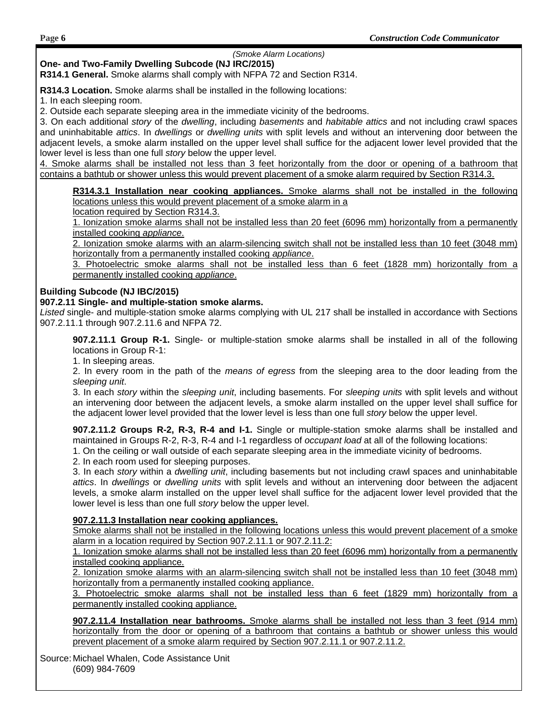#### *(Smoke Alarm Locations)*

#### **One- and Two-Family Dwelling Subcode (NJ IRC/2015)**

**R314.1 General.** Smoke alarms shall comply with NFPA 72 and Section R314.

**R314.3 Location.** Smoke alarms shall be installed in the following locations:

1. In each sleeping room.

2. Outside each separate sleeping area in the immediate vicinity of the bedrooms.

3. On each additional *story* of the *dwelling*, including *basements* and *habitable attics* and not including crawl spaces and uninhabitable *attics*. In *dwellings* or *dwelling units* with split levels and without an intervening door between the adjacent levels, a smoke alarm installed on the upper level shall suffice for the adjacent lower level provided that the lower level is less than one full *story* below the upper level.

4. Smoke alarms shall be installed not less than 3 feet horizontally from the door or opening of a bathroom that contains a bathtub or shower unless this would prevent placement of a smoke alarm required by Section R314.3.

**R314.3.1 Installation near cooking appliances.** Smoke alarms shall not be installed in the following locations unless this would prevent placement of a smoke alarm in a

location required by Section R314.3.

1. Ionization smoke alarms shall not be installed less than 20 feet (6096 mm) horizontally from a permanently installed cooking *appliance*.

2. Ionization smoke alarms with an alarm-silencing switch shall not be installed less than 10 feet (3048 mm) horizontally from a permanently installed cooking *appliance*.

3. Photoelectric smoke alarms shall not be installed less than 6 feet (1828 mm) horizontally from a permanently installed cooking *appliance*.

#### **Building Subcode (NJ IBC/2015)**

#### **907.2.11 Single- and multiple-station smoke alarms.**

*Listed* single- and multiple-station smoke alarms complying with UL 217 shall be installed in accordance with Sections 907.2.11.1 through 907.2.11.6 and NFPA 72.

**907.2.11.1 Group R-1.** Single- or multiple-station smoke alarms shall be installed in all of the following locations in Group R-1:

1. In sleeping areas.

2. In every room in the path of the *means of egress* from the sleeping area to the door leading from the *sleeping unit*.

3. In each *story* within the *sleeping unit*, including basements. For *sleeping units* with split levels and without an intervening door between the adjacent levels, a smoke alarm installed on the upper level shall suffice for the adjacent lower level provided that the lower level is less than one full *story* below the upper level.

**907.2.11.2 Groups R-2, R-3, R-4 and I-1.** Single or multiple-station smoke alarms shall be installed and maintained in Groups R-2, R-3, R-4 and I-1 regardless of *occupant load* at all of the following locations:

1. On the ceiling or wall outside of each separate sleeping area in the immediate vicinity of bedrooms.

2. In each room used for sleeping purposes.

3. In each *story* within a *dwelling unit*, including basements but not including crawl spaces and uninhabitable *attics*. In *dwellings* or *dwelling units* with split levels and without an intervening door between the adjacent levels, a smoke alarm installed on the upper level shall suffice for the adjacent lower level provided that the lower level is less than one full *story* below the upper level.

#### **907.2.11.3 Installation near cooking appliances.**

Smoke alarms shall not be installed in the following locations unless this would prevent placement of a smoke alarm in a location required by Section 907.2.11.1 or 907.2.11.2:

1. Ionization smoke alarms shall not be installed less than 20 feet (6096 mm) horizontally from a permanently installed cooking appliance.

2. Ionization smoke alarms with an alarm-silencing switch shall not be installed less than 10 feet (3048 mm) horizontally from a permanently installed cooking appliance.

3. Photoelectric smoke alarms shall not be installed less than 6 feet (1829 mm) horizontally from a permanently installed cooking appliance.

**907.2.11.4 Installation near bathrooms.** Smoke alarms shall be installed not less than 3 feet (914 mm) horizontally from the door or opening of a bathroom that contains a bathtub or shower unless this would prevent placement of a smoke alarm required by Section 907.2.11.1 or 907.2.11.2.

Source: Michael Whalen, Code Assistance Unit (609) 984-7609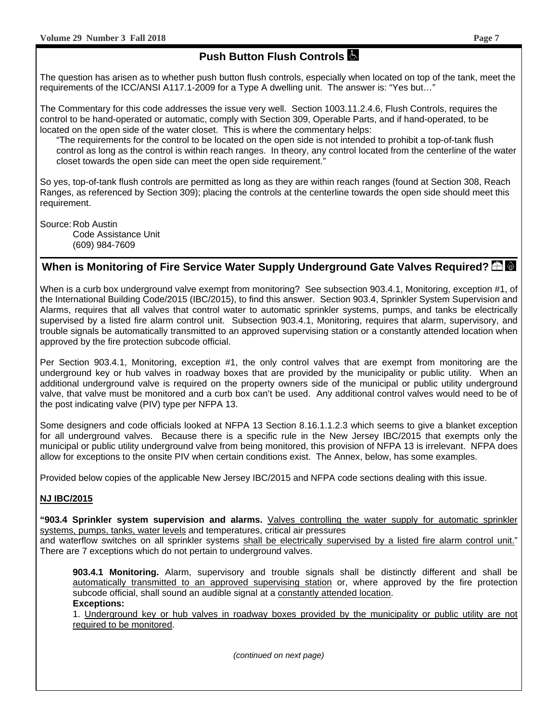### **Push Button Flush Controls**

The question has arisen as to whether push button flush controls, especially when located on top of the tank, meet the requirements of the ICC/ANSI A117.1-2009 for a Type A dwelling unit. The answer is: "Yes but…"

The Commentary for this code addresses the issue very well. Section 1003.11.2.4.6, Flush Controls, requires the control to be hand-operated or automatic, comply with Section 309, Operable Parts, and if hand-operated, to be located on the open side of the water closet. This is where the commentary helps:

"The requirements for the control to be located on the open side is not intended to prohibit a top-of-tank flush control as long as the control is within reach ranges. In theory, any control located from the centerline of the water closet towards the open side can meet the open side requirement."

So yes, top-of-tank flush controls are permitted as long as they are within reach ranges (found at Section 308, Reach Ranges, as referenced by Section 309); placing the controls at the centerline towards the open side should meet this requirement.

Source: Rob Austin Code Assistance Unit (609) 984-7609

#### When is Monitoring of Fire Service Water Supply Underground Gate Valves Required?  $\triangle$  <sup>1</sup>

When is a curb box underground valve exempt from monitoring? See subsection 903.4.1, Monitoring, exception #1, of the International Building Code/2015 (IBC/2015), to find this answer. Section 903.4, Sprinkler System Supervision and Alarms, requires that all valves that control water to automatic sprinkler systems, pumps, and tanks be electrically supervised by a listed fire alarm control unit. Subsection 903.4.1, Monitoring, requires that alarm, supervisory, and trouble signals be automatically transmitted to an approved supervising station or a constantly attended location when approved by the fire protection subcode official.

Per Section 903.4.1, Monitoring, exception #1, the only control valves that are exempt from monitoring are the underground key or hub valves in roadway boxes that are provided by the municipality or public utility. When an additional underground valve is required on the property owners side of the municipal or public utility underground valve, that valve must be monitored and a curb box can't be used. Any additional control valves would need to be of the post indicating valve (PIV) type per NFPA 13.

Some designers and code officials looked at NFPA 13 Section 8.16.1.1.2.3 which seems to give a blanket exception for all underground valves. Because there is a specific rule in the New Jersey IBC/2015 that exempts only the municipal or public utility underground valve from being monitored, this provision of NFPA 13 is irrelevant. NFPA does allow for exceptions to the onsite PIV when certain conditions exist. The Annex, below, has some examples.

Provided below copies of the applicable New Jersey IBC/2015 and NFPA code sections dealing with this issue.

#### **NJ IBC/2015**

**"903.4 Sprinkler system supervision and alarms.** Valves controlling the water supply for automatic sprinkler systems, pumps, tanks, water levels and temperatures, critical air pressures

and waterflow switches on all sprinkler systems shall be electrically supervised by a listed fire alarm control unit." There are 7 exceptions which do not pertain to underground valves.

**903.4.1 Monitoring.** Alarm, supervisory and trouble signals shall be distinctly different and shall be automatically transmitted to an approved supervising station or, where approved by the fire protection subcode official, shall sound an audible signal at a constantly attended location. **Exceptions:** 

1. Underground key or hub valves in roadway boxes provided by the municipality or public utility are not required to be monitored.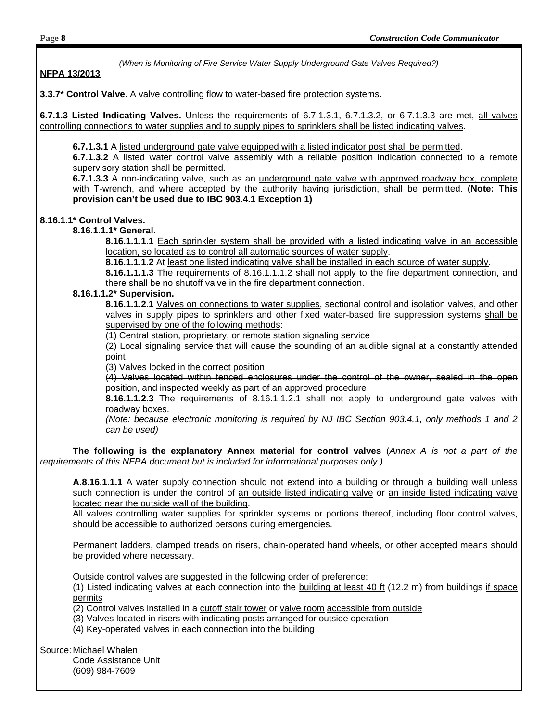#### **NFPA 13/2013**

**3.3.7\* Control Valve.** A valve controlling flow to water-based fire protection systems.

**6.7.1.3 Listed Indicating Valves.** Unless the requirements of 6.7.1.3.1, 6.7.1.3.2, or 6.7.1.3.3 are met, all valves controlling connections to water supplies and to supply pipes to sprinklers shall be listed indicating valves.

**6.7.1.3.1** A listed underground gate valve equipped with a listed indicator post shall be permitted.

**6.7.1.3.2** A listed water control valve assembly with a reliable position indication connected to a remote supervisory station shall be permitted.

**6.7.1.3.3** A non-indicating valve, such as an underground gate valve with approved roadway box, complete with T-wrench, and where accepted by the authority having jurisdiction, shall be permitted. **(Note: This provision can't be used due to IBC 903.4.1 Exception 1)**

#### **8.16.1.1\* Control Valves.**

#### **8.16.1.1.1\* General.**

**8.16.1.1.1.1** Each sprinkler system shall be provided with a listed indicating valve in an accessible location, so located as to control all automatic sources of water supply.

**8.16.1.1.1.2** At least one listed indicating valve shall be installed in each source of water supply.

**8.16.1.1.1.3** The requirements of 8.16.1.1.1.2 shall not apply to the fire department connection, and there shall be no shutoff valve in the fire department connection.

#### **8.16.1.1.2\* Supervision.**

**8.16.1.1.2.1** Valves on connections to water supplies, sectional control and isolation valves, and other valves in supply pipes to sprinklers and other fixed water-based fire suppression systems shall be supervised by one of the following methods:

(1) Central station, proprietary, or remote station signaling service

(2) Local signaling service that will cause the sounding of an audible signal at a constantly attended point

(3) Valves locked in the correct position

(4) Valves located within fenced enclosures under the control of the owner, sealed in the open position, and inspected weekly as part of an approved procedure

**8.16.1.1.2.3** The requirements of 8.16.1.1.2.1 shall not apply to underground gate valves with roadway boxes.

*(Note: because electronic monitoring is required by NJ IBC Section 903.4.1, only methods 1 and 2 can be used)* 

 **The following is the explanatory Annex material for control valves** (*Annex A is not a part of the requirements of this NFPA document but is included for informational purposes only.)* 

**A.8.16.1.1.1** A water supply connection should not extend into a building or through a building wall unless such connection is under the control of an outside listed indicating valve or an inside listed indicating valve located near the outside wall of the building.

All valves controlling water supplies for sprinkler systems or portions thereof, including floor control valves, should be accessible to authorized persons during emergencies.

Permanent ladders, clamped treads on risers, chain-operated hand wheels, or other accepted means should be provided where necessary.

Outside control valves are suggested in the following order of preference:

(1) Listed indicating valves at each connection into the building at least 40 ft (12.2 m) from buildings if space permits

(2) Control valves installed in a cutoff stair tower or valve room accessible from outside

- (3) Valves located in risers with indicating posts arranged for outside operation
- (4) Key-operated valves in each connection into the building

Source: Michael Whalen

 Code Assistance Unit (609) 984-7609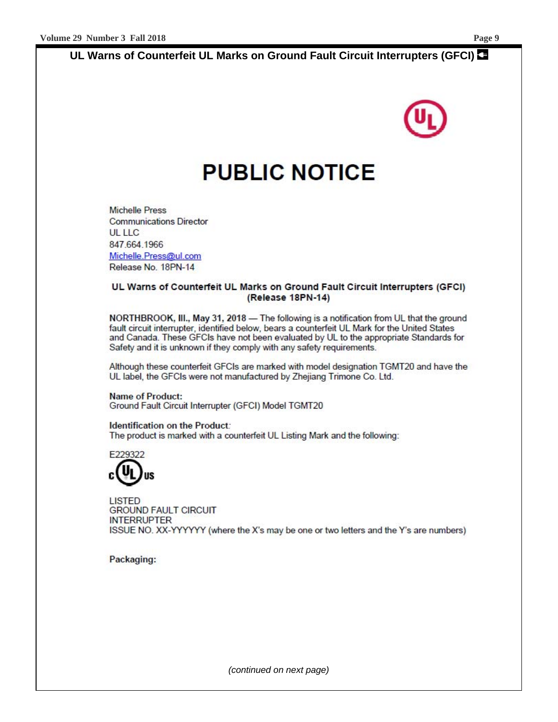## **UL Warns of Counterfeit UL Marks on Ground Fault Circuit Interrupters (GFCI)**

## **PUBLIC NOTICE**

**Michelle Press Communications Director UL LLC** 847.664.1966 Michelle.Press@ul.com Release No. 18PN-14

#### UL Warns of Counterfeit UL Marks on Ground Fault Circuit Interrupters (GFCI) (Release 18PN-14)

NORTHBROOK, III., May 31, 2018 - The following is a notification from UL that the ground fault circuit interrupter, identified below, bears a counterfeit UL Mark for the United States and Canada. These GFCIs have not been evaluated by UL to the appropriate Standards for Safety and it is unknown if they comply with any safety requirements.

Although these counterfeit GFCIs are marked with model designation TGMT20 and have the UL label, the GFCIs were not manufactured by Zhejiang Trimone Co. Ltd.

**Name of Product:** Ground Fault Circuit Interrupter (GFCI) Model TGMT20

Identification on the Product: The product is marked with a counterfeit UL Listing Mark and the following:



**LISTED GROUND FAULT CIRCUIT INTERRUPTER** ISSUE NO. XX-YYYYYY (where the X's may be one or two letters and the Y's are numbers)

Packaging: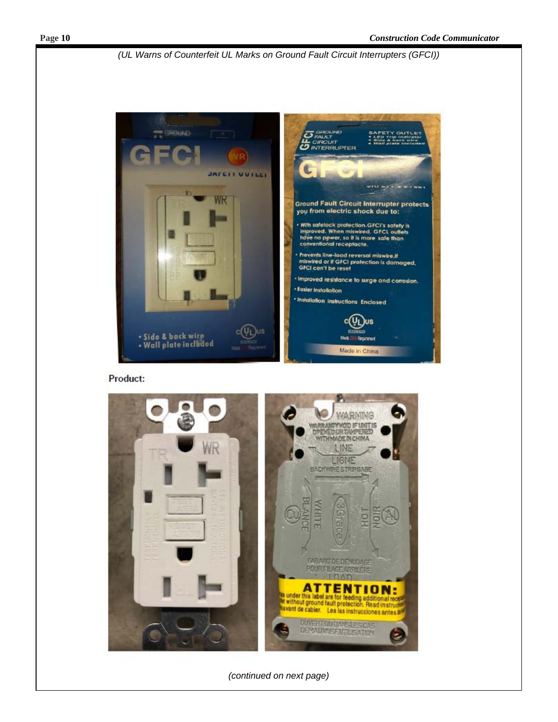*(UL Warns of Counterfeit UL Marks on Ground Fault Circuit Interrupters (GFCI))* 



Product:

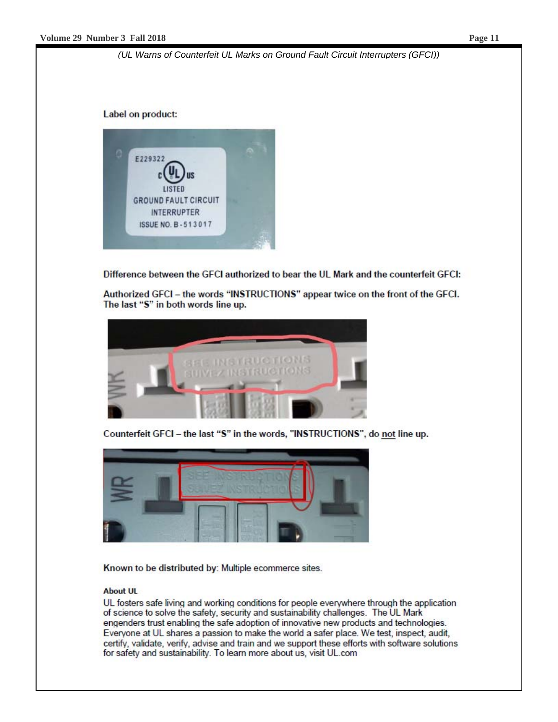*(UL Warns of Counterfeit UL Marks on Ground Fault Circuit Interrupters (GFCI))* 

Label on product:



Difference between the GFCI authorized to bear the UL Mark and the counterfeit GFCI:

Authorized GFCI - the words "INSTRUCTIONS" appear twice on the front of the GFCI. The last "S" in both words line up.



Counterfeit GFCI - the last "S" in the words, "INSTRUCTIONS", do not line up.



Known to be distributed by: Multiple ecommerce sites.

#### **About UL**

UL fosters safe living and working conditions for people everywhere through the application of science to solve the safety, security and sustainability challenges. The UL Mark engenders trust enabling the safe adoption of innovative new products and technologies. Everyone at UL shares a passion to make the world a safer place. We test, inspect, audit, certify, validate, verify, advise and train and we support these efforts with software solutions for safety and sustainability. To learn more about us, visit UL.com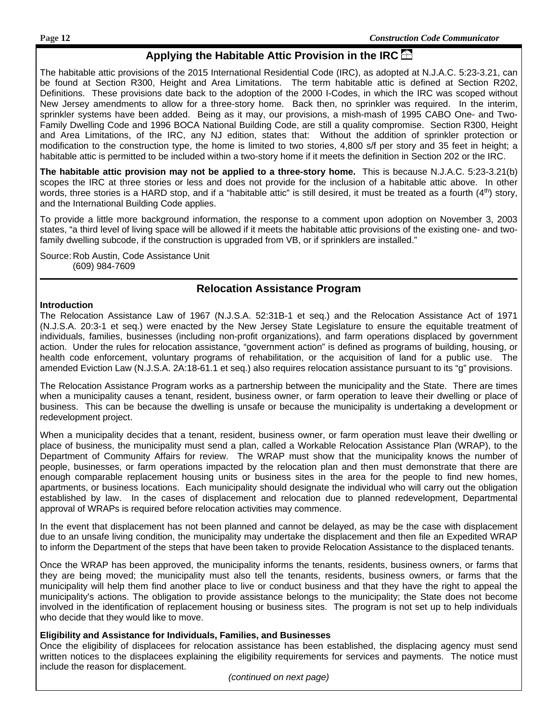#### **Applying the Habitable Attic Provision in the IRC**

The habitable attic provisions of the 2015 International Residential Code (IRC), as adopted at N.J.A.C. 5:23-3.21, can be found at Section R300, Height and Area Limitations. The term habitable attic is defined at Section R202, Definitions. These provisions date back to the adoption of the 2000 I-Codes, in which the IRC was scoped without New Jersey amendments to allow for a three-story home. Back then, no sprinkler was required. In the interim, sprinkler systems have been added. Being as it may, our provisions, a mish-mash of 1995 CABO One- and Two-Family Dwelling Code and 1996 BOCA National Building Code, are still a quality compromise. Section R300, Height and Area Limitations, of the IRC, any NJ edition, states that: Without the addition of sprinkler protection or modification to the construction type, the home is limited to two stories, 4,800 s/f per story and 35 feet in height; a habitable attic is permitted to be included within a two-story home if it meets the definition in Section 202 or the IRC.

**The habitable attic provision may not be applied to a three-story home.** This is because N.J.A.C. 5:23-3.21(b) scopes the IRC at three stories or less and does not provide for the inclusion of a habitable attic above. In other words, three stories is a HARD stop, and if a "habitable attic" is still desired, it must be treated as a fourth  $(4<sup>th</sup>)$  story, and the International Building Code applies.

To provide a little more background information, the response to a comment upon adoption on November 3, 2003 states, "a third level of living space will be allowed if it meets the habitable attic provisions of the existing one- and twofamily dwelling subcode, if the construction is upgraded from VB, or if sprinklers are installed."

Source: Rob Austin, Code Assistance Unit (609) 984-7609

#### **Relocation Assistance Program**

#### **Introduction**

The Relocation Assistance Law of 1967 (N.J.S.A. 52:31B-1 et seq.) and the Relocation Assistance Act of 1971 (N.J.S.A. 20:3-1 et seq.) were enacted by the New Jersey State Legislature to ensure the equitable treatment of individuals, families, businesses (including non-profit organizations), and farm operations displaced by government action. Under the rules for relocation assistance, "government action" is defined as programs of building, housing, or health code enforcement, voluntary programs of rehabilitation, or the acquisition of land for a public use. The amended Eviction Law (N.J.S.A. 2A:18-61.1 et seq.) also requires relocation assistance pursuant to its "g" provisions.

The Relocation Assistance Program works as a partnership between the municipality and the State. There are times when a municipality causes a tenant, resident, business owner, or farm operation to leave their dwelling or place of business. This can be because the dwelling is unsafe or because the municipality is undertaking a development or redevelopment project.

When a municipality decides that a tenant, resident, business owner, or farm operation must leave their dwelling or place of business, the municipality must send a plan, called a Workable Relocation Assistance Plan (WRAP), to the Department of Community Affairs for review. The WRAP must show that the municipality knows the number of people, businesses, or farm operations impacted by the relocation plan and then must demonstrate that there are enough comparable replacement housing units or business sites in the area for the people to find new homes, apartments, or business locations. Each municipality should designate the individual who will carry out the obligation established by law. In the cases of displacement and relocation due to planned redevelopment, Departmental approval of WRAPs is required before relocation activities may commence.

In the event that displacement has not been planned and cannot be delayed, as may be the case with displacement due to an unsafe living condition, the municipality may undertake the displacement and then file an Expedited WRAP to inform the Department of the steps that have been taken to provide Relocation Assistance to the displaced tenants.

Once the WRAP has been approved, the municipality informs the tenants, residents, business owners, or farms that they are being moved; the municipality must also tell the tenants, residents, business owners, or farms that the municipality will help them find another place to live or conduct business and that they have the right to appeal the municipality's actions. The obligation to provide assistance belongs to the municipality; the State does not become involved in the identification of replacement housing or business sites. The program is not set up to help individuals who decide that they would like to move.

#### **Eligibility and Assistance for Individuals, Families, and Businesses**

Once the eligibility of displacees for relocation assistance has been established, the displacing agency must send written notices to the displacees explaining the eligibility requirements for services and payments. The notice must include the reason for displacement.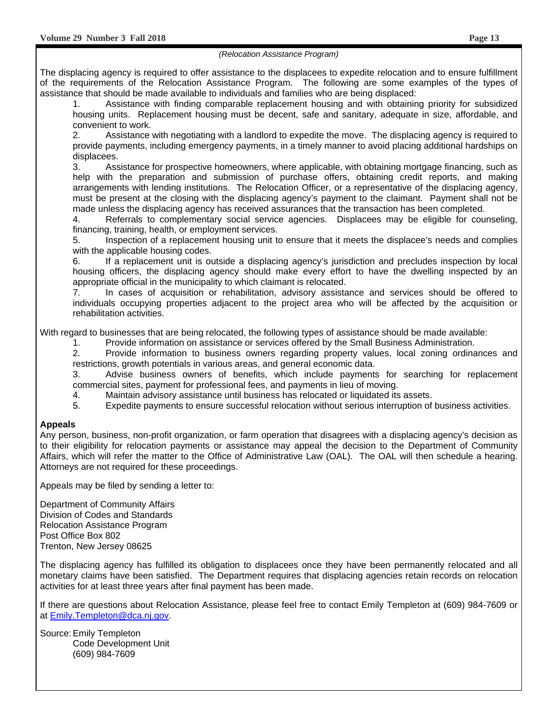#### *(Relocation Assistance Program)*

The displacing agency is required to offer assistance to the displacees to expedite relocation and to ensure fulfillment of the requirements of the Relocation Assistance Program. The following are some examples of the types of assistance that should be made available to individuals and families who are being displaced:

1. Assistance with finding comparable replacement housing and with obtaining priority for subsidized housing units. Replacement housing must be decent, safe and sanitary, adequate in size, affordable, and convenient to work.

2. Assistance with negotiating with a landlord to expedite the move. The displacing agency is required to provide payments, including emergency payments, in a timely manner to avoid placing additional hardships on displacees.

3. Assistance for prospective homeowners, where applicable, with obtaining mortgage financing, such as help with the preparation and submission of purchase offers, obtaining credit reports, and making arrangements with lending institutions. The Relocation Officer, or a representative of the displacing agency, must be present at the closing with the displacing agency's payment to the claimant. Payment shall not be made unless the displacing agency has received assurances that the transaction has been completed.

4. Referrals to complementary social service agencies. Displacees may be eligible for counseling, financing, training, health, or employment services.

5. Inspection of a replacement housing unit to ensure that it meets the displacee's needs and complies with the applicable housing codes.

6. If a replacement unit is outside a displacing agency's jurisdiction and precludes inspection by local housing officers, the displacing agency should make every effort to have the dwelling inspected by an appropriate official in the municipality to which claimant is relocated.

7. In cases of acquisition or rehabilitation, advisory assistance and services should be offered to individuals occupying properties adjacent to the project area who will be affected by the acquisition or rehabilitation activities.

With regard to businesses that are being relocated, the following types of assistance should be made available:

1. Provide information on assistance or services offered by the Small Business Administration.

2. Provide information to business owners regarding property values, local zoning ordinances and restrictions, growth potentials in various areas, and general economic data.

3. Advise business owners of benefits, which include payments for searching for replacement commercial sites, payment for professional fees, and payments in lieu of moving.

4. Maintain advisory assistance until business has relocated or liquidated its assets.

5. Expedite payments to ensure successful relocation without serious interruption of business activities.

#### **Appeals**

Any person, business, non-profit organization, or farm operation that disagrees with a displacing agency's decision as to their eligibility for relocation payments or assistance may appeal the decision to the Department of Community Affairs, which will refer the matter to the Office of Administrative Law (OAL). The OAL will then schedule a hearing. Attorneys are not required for these proceedings.

Appeals may be filed by sending a letter to:

Department of Community Affairs Division of Codes and Standards Relocation Assistance Program Post Office Box 802 Trenton, New Jersey 08625

The displacing agency has fulfilled its obligation to displacees once they have been permanently relocated and all monetary claims have been satisfied. The Department requires that displacing agencies retain records on relocation activities for at least three years after final payment has been made.

If there are questions about Relocation Assistance, please feel free to contact Emily Templeton at (609) 984-7609 or at Emily.Templeton@dca.nj.gov.

Source: Emily Templeton Code Development Unit (609) 984-7609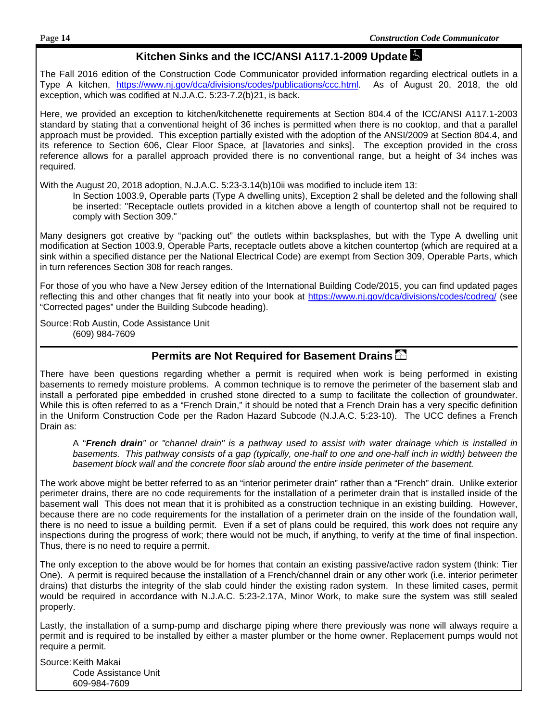#### **Kitchen Sinks and the ICC/ANSI A117.1-2009 Update**

The Fall 2016 edition of the Construction Code Communicator provided information regarding electrical outlets in a Type A kitchen, https://www.nj.gov/dca/divisions/codes/publications/ccc.html. As of August 20, 2018, the old exception, which was codified at N.J.A.C. 5:23-7.2(b)21, is back.

Here, we provided an exception to kitchen/kitchenette requirements at Section 804.4 of the ICC/ANSI A117.1-2003 standard by stating that a conventional height of 36 inches is permitted when there is no cooktop, and that a parallel approach must be provided. This exception partially existed with the adoption of the ANSI/2009 at Section 804.4, and its reference to Section 606, Clear Floor Space, at [lavatories and sinks]. The exception provided in the cross reference allows for a parallel approach provided there is no conventional range, but a height of 34 inches was required.

With the August 20, 2018 adoption, N.J.A.C. 5:23-3.14(b)10ii was modified to include item 13:

In Section 1003.9, Operable parts (Type A dwelling units), Exception 2 shall be deleted and the following shall be inserted: "Receptacle outlets provided in a kitchen above a length of countertop shall not be required to comply with Section 309."

Many designers got creative by "packing out" the outlets within backsplashes, but with the Type A dwelling unit modification at Section 1003.9, Operable Parts, receptacle outlets above a kitchen countertop (which are required at a sink within a specified distance per the National Electrical Code) are exempt from Section 309, Operable Parts, which in turn references Section 308 for reach ranges.

For those of you who have a New Jersey edition of the International Building Code/2015, you can find updated pages reflecting this and other changes that fit neatly into your book at https://www.nj.gov/dca/divisions/codes/codreg/ (see "Corrected pages" under the Building Subcode heading).

Source: Rob Austin, Code Assistance Unit (609) 984-7609

#### **Permits are Not Required for Basement Drains**

There have been questions regarding whether a permit is required when work is being performed in existing basements to remedy moisture problems. A common technique is to remove the perimeter of the basement slab and install a perforated pipe embedded in crushed stone directed to a sump to facilitate the collection of groundwater. While this is often referred to as a "French Drain," it should be noted that a French Drain has a very specific definition in the Uniform Construction Code per the Radon Hazard Subcode (N.J.A.C. 5:23-10). The UCC defines a French Drain as:

A "*French drain" or "channel drain" is a pathway used to assist with water drainage which is installed in*  basements. This pathway consists of a gap (typically, one-half to one and one-half inch in width) between the *basement block wall and the concrete floor slab around the entire inside perimeter of the basement.* 

The work above might be better referred to as an "interior perimeter drain" rather than a "French" drain. Unlike exterior perimeter drains, there are no code requirements for the installation of a perimeter drain that is installed inside of the basement wall This does not mean that it is prohibited as a construction technique in an existing building. However, because there are no code requirements for the installation of a perimeter drain on the inside of the foundation wall, there is no need to issue a building permit. Even if a set of plans could be required, this work does not require any inspections during the progress of work; there would not be much, if anything, to verify at the time of final inspection. Thus, there is no need to require a permit.

The only exception to the above would be for homes that contain an existing passive/active radon system (think: Tier One). A permit is required because the installation of a French/channel drain or any other work (i.e. interior perimeter drains) that disturbs the integrity of the slab could hinder the existing radon system. In these limited cases, permit would be required in accordance with N.J.A.C. 5:23-2.17A, Minor Work, to make sure the system was still sealed properly.

Lastly, the installation of a sump-pump and discharge piping where there previously was none will always require a permit and is required to be installed by either a master plumber or the home owner. Replacement pumps would not require a permit.

Source: Keith Makai Code Assistance Unit 609-984-7609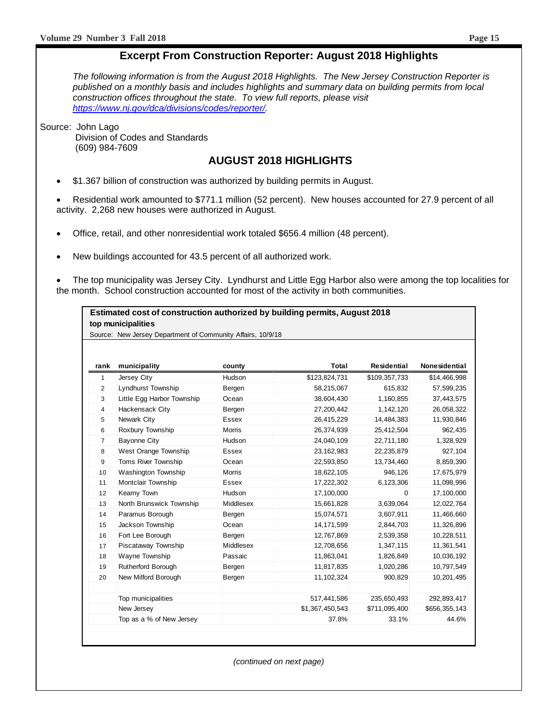#### **Excerpt From Construction Reporter: August 2018 Highlights**

*The following information is from the August 2018 Highlights. The New Jersey Construction Reporter is published on a monthly basis and includes highlights and summary data on building permits from local construction offices throughout the state. To view full reports, please visit https://www.nj.gov/dca/divisions/codes/reporter/.* 

Source: John Lago Division of Codes and Standards (609) 984-7609

#### **AUGUST 2018 HIGHLIGHTS**

\$1.367 billion of construction was authorized by building permits in August.

 Residential work amounted to \$771.1 million (52 percent). New houses accounted for 27.9 percent of all activity. 2,268 new houses were authorized in August.

- Office, retail, and other nonresidential work totaled \$656.4 million (48 percent).
- New buildings accounted for 43.5 percent of all authorized work.

 The top municipality was Jersey City. Lyndhurst and Little Egg Harbor also were among the top localities for the month. School construction accounted for most of the activity in both communities.

#### **Estimated cost of construction authorized by building permits, August 2018 top municipalities**

Source: New Jersey Department of Community Affairs, 10/9/18

| rank           | municipality               | county        | <b>Total</b>    | <b>Residential</b> | Nonesidential |
|----------------|----------------------------|---------------|-----------------|--------------------|---------------|
| 1              | Jersey City                | Hudson        | \$123,824,731   | \$109,357,733      | \$14,466,998  |
| $\overline{2}$ | Lyndhurst Township         | Bergen        | 58,215,067      | 615,832            | 57,599,235    |
| 3              | Little Egg Harbor Township | Ocean         | 38,604,430      | 1,160,855          | 37,443,575    |
| 4              | Hackensack City            | Bergen        | 27,200,442      | 1,142,120          | 26,058,322    |
| 5              | Newark City                | <b>Essex</b>  | 26,415,229      | 14.484.383         | 11,930,846    |
| 6              | Roxbury Township           | <b>Morris</b> | 26,374,939      | 25,412,504         | 962,435       |
| $\overline{7}$ | Bayonne City               | Hudson        | 24,040,109      | 22,711,180         | 1,328,929     |
| 8              | West Orange Township       | Essex         | 23, 162, 983    | 22,235,879         | 927,104       |
| 9              | Toms River Township        | Ocean         | 22,593,850      | 13,734,460         | 8,859,390     |
| 10             | Washington Township        | <b>Morris</b> | 18,622,105      | 946,126            | 17,675,979    |
| 11             | Montclair Township         | <b>Essex</b>  | 17,222,302      | 6,123,306          | 11,098,996    |
| 12             | Kearny Town                | Hudson        | 17,100,000      | 0                  | 17,100,000    |
| 13             | North Brunswick Township   | Middlesex     | 15,661,828      | 3,639,064          | 12,022,764    |
| 14             | Paramus Borough            | Bergen        | 15,074,571      | 3,607,911          | 11,466,660    |
| 15             | Jackson Township           | Ocean         | 14, 171, 599    | 2,844,703          | 11,326,896    |
| 16             | Fort Lee Borough           | Bergen        | 12,767,869      | 2,539,358          | 10,228,511    |
| 17             | Piscataway Township        | Middlesex     | 12,708,656      | 1,347,115          | 11,361,541    |
| 18             | Wayne Township             | Passaic       | 11,863,041      | 1,826,849          | 10,036,192    |
| 19             | <b>Rutherford Borough</b>  | Bergen        | 11,817,835      | 1,020,286          | 10,797,549    |
| 20             | New Milford Borough        | Bergen        | 11,102,324      | 900,829            | 10,201,495    |
|                | Top municipalities         |               | 517,441,586     | 235,650,493        | 292,893,417   |
|                | New Jersey                 |               | \$1,367,450,543 | \$711,095,400      | \$656,355,143 |
|                | Top as a % of New Jersey   |               | 37.8%           | 33.1%              | 44.6%         |